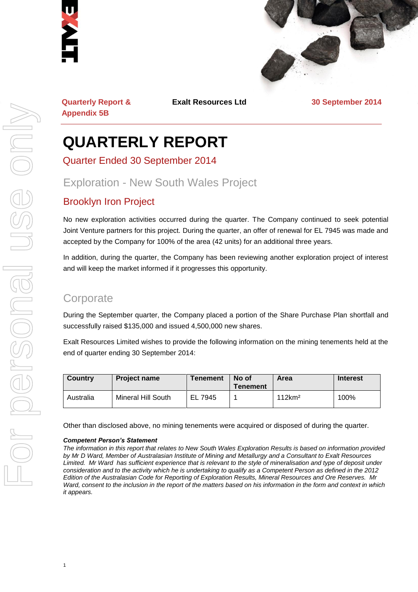



**Quarterly Report & Appendix 5B**

**Exalt Resources Ltd 30 September 2014**

# **QUARTERLY REPORT**

Quarter Ended 30 September 2014

# Exploration - New South Wales Project

## Brooklyn Iron Project

No new exploration activities occurred during the quarter. The Company continued to seek potential Joint Venture partners for this project. During the quarter, an offer of renewal for EL 7945 was made and accepted by the Company for 100% of the area (42 units) for an additional three years.

In addition, during the quarter, the Company has been reviewing another exploration project of interest and will keep the market informed if it progresses this opportunity.

# **Corporate**

During the September quarter, the Company placed a portion of the Share Purchase Plan shortfall and successfully raised \$135,000 and issued 4,500,000 new shares.

Exalt Resources Limited wishes to provide the following information on the mining tenements held at the end of quarter ending 30 September 2014:

| <b>Country</b> | <b>Project name</b> | <b>Tenement</b> | No of<br><b>Tenement</b> | Area               | <b>Interest</b> |
|----------------|---------------------|-----------------|--------------------------|--------------------|-----------------|
| Australia      | Mineral Hill South  | EL.<br>. 7945   |                          | 112km <sup>2</sup> | 100%            |

Other than disclosed above, no mining tenements were acquired or disposed of during the quarter.

#### *Competent Person's Statement*

*The information in this report that relates to New South Wales Exploration Results is based on information provided by Mr D Ward, Member of Australasian Institute of Mining and Metallurgy and a Consultant to Exalt Resources Limited. Mr Ward has sufficient experience that is relevant to the style of mineralisation and type of deposit under consideration and to the activity which he is undertaking to qualify as a Competent Person as defined in the 2012 Edition of the Australasian Code for Reporting of Exploration Results, Mineral Resources and Ore Reserves. Mr Ward, consent to the inclusion in the report of the matters based on his information in the form and context in which it appears.*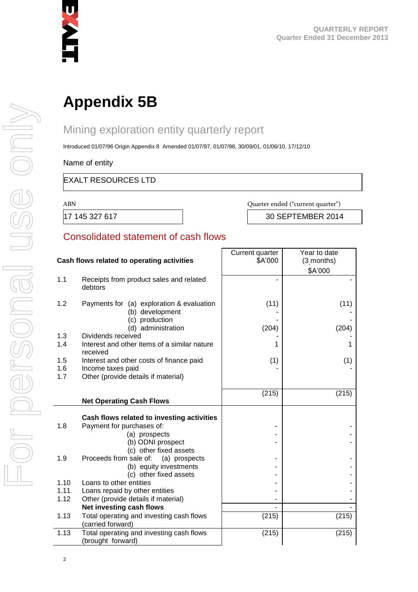

# **Appendix 5B**

# Mining exploration entity quarterly report

Introduced 01/07/96 Origin Appendix 8 Amended 01/07/97, 01/07/98, 30/09/01, 01/06/10, 17/12/10

Name of entity

#### EXALT RESOURCES LTD

ABN Quarter ended ("current quarter")

17 145 327 617 30 SEPTEMBER 2014

#### Consolidated statement of cash flows

|              | Cash flows related to operating activities                                     | Current quarter<br>\$A'000 | Year to date<br>(3 months) |
|--------------|--------------------------------------------------------------------------------|----------------------------|----------------------------|
|              |                                                                                |                            | \$A'000                    |
| 1.1          | Receipts from product sales and related<br>debtors                             |                            |                            |
| 1.2          | Payments for (a) exploration & evaluation<br>(b) development<br>(c) production | (11)                       | (11)                       |
|              | (d) administration                                                             | (204)                      | (204)                      |
| 1.3<br>1.4   | Dividends received<br>Interest and other items of a similar nature<br>received | 1                          | 1                          |
| 1.5<br>1.6   | Interest and other costs of finance paid<br>Income taxes paid                  | (1)                        | (1)                        |
| 1.7          | Other (provide details if material)                                            |                            |                            |
|              |                                                                                | (215)                      | (215)                      |
|              | <b>Net Operating Cash Flows</b>                                                |                            |                            |
|              |                                                                                |                            |                            |
| 1.8          | Cash flows related to investing activities<br>Payment for purchases of:        |                            |                            |
|              | (a) prospects                                                                  |                            |                            |
|              | (b) ODNI prospect                                                              |                            |                            |
|              | (c) other fixed assets                                                         |                            |                            |
| 1.9          | Proceeds from sale of:<br>(a) prospects                                        |                            |                            |
|              | (b) equity investments                                                         |                            |                            |
|              | (c) other fixed assets                                                         |                            |                            |
| 1.10<br>1.11 | Loans to other entities<br>Loans repaid by other entities                      |                            |                            |
| 1.12         | Other (provide details if material)                                            |                            |                            |
|              | Net investing cash flows                                                       |                            |                            |
| 1.13         | Total operating and investing cash flows<br>(carried forward)                  | (215)                      | (215)                      |
| 1.13         | Total operating and investing cash flows<br>(brought forward)                  | (215)                      | (215)                      |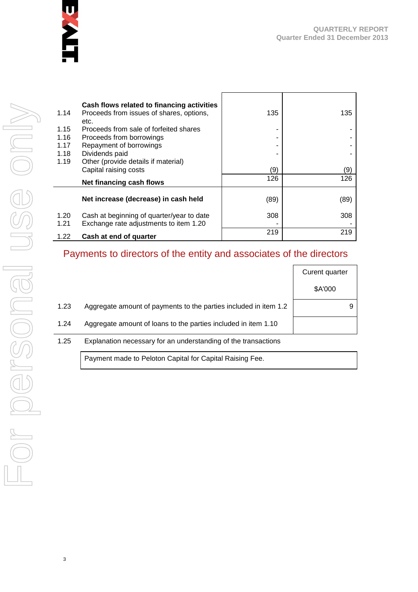

| 1.14         | Cash flows related to financing activities<br>Proceeds from issues of shares, options,<br>etc. | 135  | 135  |
|--------------|------------------------------------------------------------------------------------------------|------|------|
| 1.15         | Proceeds from sale of forfeited shares                                                         |      |      |
| 1.16         | Proceeds from borrowings                                                                       |      |      |
| 1.17         | Repayment of borrowings                                                                        |      |      |
| 1.18         | Dividends paid                                                                                 |      |      |
| 1.19         | Other (provide details if material)                                                            |      |      |
|              | Capital raising costs                                                                          | (9)  | (9)  |
|              | Net financing cash flows                                                                       | 126  | 126  |
|              | Net increase (decrease) in cash held                                                           | (89) | (89) |
| 1.20<br>1.21 | Cash at beginning of quarter/year to date<br>Exchange rate adjustments to item 1.20            | 308  | 308  |
| 1.22         | Cash at end of quarter                                                                         | 219  | 219  |

# Payments to directors of the entity and associates of the directors

|      |                                                                  | Curent quarter |
|------|------------------------------------------------------------------|----------------|
|      |                                                                  | \$A'000        |
| 1.23 | Aggregate amount of payments to the parties included in item 1.2 | 9              |
| 1.24 | Aggregate amount of loans to the parties included in item 1.10   |                |
| 1.25 | Explanation necessary for an understanding of the transactions   |                |

Payment made to Peloton Capital for Capital Raising Fee.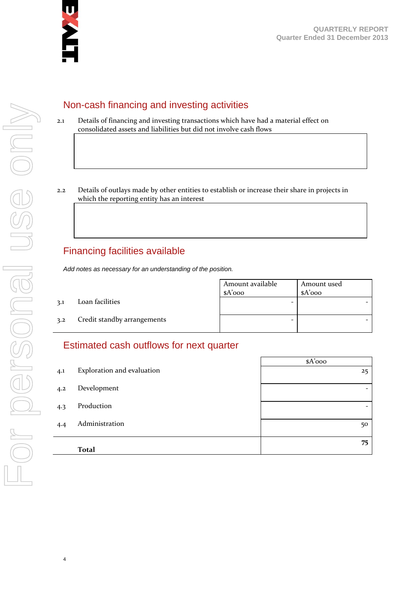

#### Non-cash financing and investing activities

- 2.1 Details of financing and investing transactions which have had a material effect on consolidated assets and liabilities but did not involve cash flows
- 2.2 Details of outlays made by other entities to establish or increase their share in projects in which the reporting entity has an interest

# Financing facilities available

*Add notes as necessary for an understanding of the position.*

Amount available \$A'000 Amount used \$A'000 3.1 Loan facilities - - 3.2 Credit standby arrangements and  $\overline{a}$  -  $\overline{a}$  -  $\overline{a}$  -  $\overline{a}$  -  $\overline{a}$ 

## Estimated cash outflows for next quarter

|     |                            | $A'$ 000 |
|-----|----------------------------|----------|
| 4.1 | Exploration and evaluation | 25       |
| 4.2 | Development                |          |
| 4.3 | Production                 |          |
| 4.4 | Administration             | 50       |
|     | <b>Total</b>               | 75       |
|     |                            |          |

4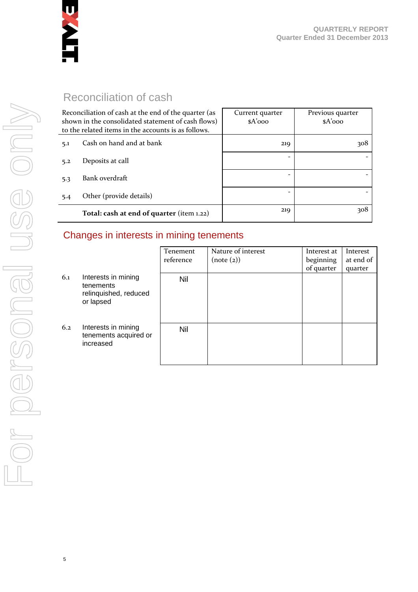

# Reconciliation of cash

| Reconciliation of cash at the end of the quarter (as<br>shown in the consolidated statement of cash flows)<br>to the related items in the accounts is as follows. |                                           | Current quarter<br>$A'$ 000 | Previous quarter<br>$A'$ 000 |
|-------------------------------------------------------------------------------------------------------------------------------------------------------------------|-------------------------------------------|-----------------------------|------------------------------|
| 5.1                                                                                                                                                               | Cash on hand and at bank                  | 219                         | 308                          |
| 5.2                                                                                                                                                               | Deposits at call                          |                             |                              |
| 5.3                                                                                                                                                               | Bank overdraft                            |                             |                              |
| 5.4                                                                                                                                                               | Other (provide details)                   |                             |                              |
|                                                                                                                                                                   | Total: cash at end of quarter (item 1.22) | 219                         | 308                          |

### Changes in interests in mining tenements

|     |                                                                        | Tenement<br>reference | Nature of interest<br>(note (2)) | Interest at<br>beginning | Interest<br>at end of<br>quarter |
|-----|------------------------------------------------------------------------|-----------------------|----------------------------------|--------------------------|----------------------------------|
| 6.1 | Interests in mining<br>tenements<br>relinquished, reduced<br>or lapsed | Nil                   |                                  | of quarter               |                                  |
| 6.2 | Interests in mining<br>tenements acquired or<br>increased              | Nil                   |                                  |                          |                                  |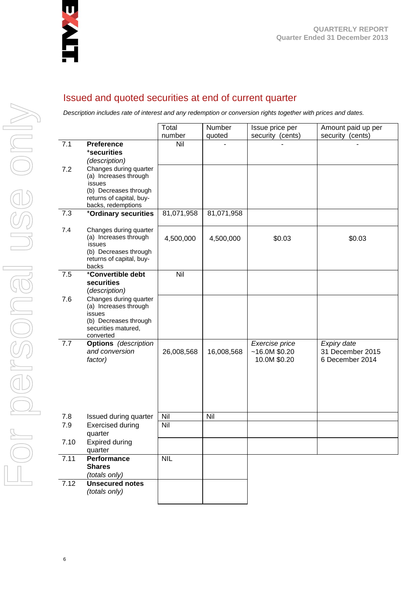

#### Issued and quoted securities at end of current quarter

*Description includes rate of interest and any redemption or conversion rights together with prices and dates.*

|      |                                                                                                                                      | Total<br>number | Number<br>quoted | Issue price per<br>security (cents)             | Amount paid up per<br>security (cents)             |
|------|--------------------------------------------------------------------------------------------------------------------------------------|-----------------|------------------|-------------------------------------------------|----------------------------------------------------|
| 7.1  | <b>Preference</b><br>*securities<br>(description)                                                                                    | Nil             |                  |                                                 |                                                    |
| 7.2  | Changes during quarter<br>(a) Increases through<br>issues<br>(b) Decreases through<br>returns of capital, buy-<br>backs, redemptions |                 |                  |                                                 |                                                    |
| 7.3  | +Ordinary securities                                                                                                                 | 81,071,958      | 81,071,958       |                                                 |                                                    |
| 7.4  | Changes during quarter<br>(a) Increases through<br>issues<br>(b) Decreases through<br>returns of capital, buy-<br>backs              | 4,500,000       | 4,500,000        | \$0.03                                          | \$0.03                                             |
| 7.5  | +Convertible debt<br>securities<br>(description)                                                                                     | Nil             |                  |                                                 |                                                    |
| 7.6  | Changes during quarter<br>(a) Increases through<br>issues<br>(b) Decreases through<br>securities matured,<br>converted               |                 |                  |                                                 |                                                    |
| 7.7  | <b>Options</b> (description<br>and conversion<br>factor)                                                                             | 26,008,568      | 16,008,568       | Exercise price<br>~16.0M~\$0.20<br>10.0M \$0.20 | Expiry date<br>31 December 2015<br>6 December 2014 |
| 7.8  | Issued during quarter                                                                                                                | Nil             | Nil              |                                                 |                                                    |
| 7.9  | <b>Exercised during</b><br>quarter                                                                                                   | Nil             |                  |                                                 |                                                    |
| 7.10 | <b>Expired during</b><br>quarter                                                                                                     |                 |                  |                                                 |                                                    |
| 7.11 | Performance<br><b>Shares</b><br>(totals_only)                                                                                        | <b>NIL</b>      |                  |                                                 |                                                    |
| 7.12 | <b>Unsecured notes</b><br>(totals only)                                                                                              |                 |                  |                                                 |                                                    |